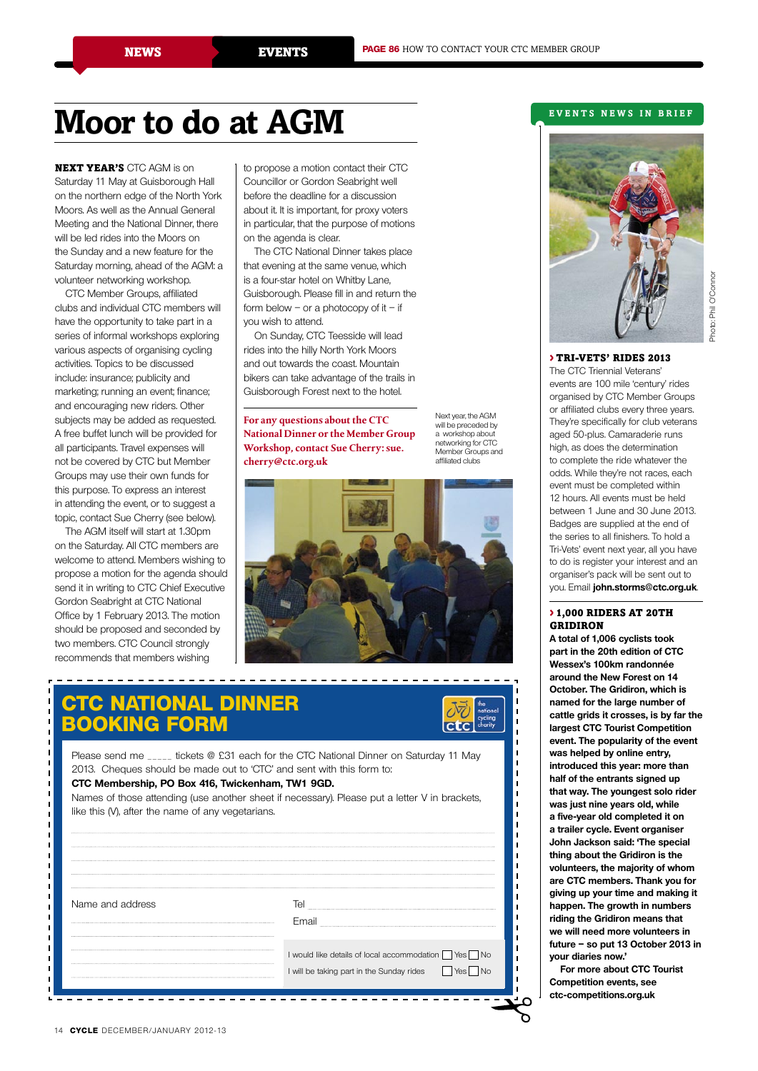# **Moor to do at AGM**

Next year's CTC AGM is on Saturday 11 May at Guisborough Hall on the northern edge of the North York Moors. As well as the Annual General Meeting and the National Dinner, there will be led rides into the Moors on the Sunday and a new feature for the Saturday morning, ahead of the AGM: a volunteer networking workshop.

CTC Member Groups, affiliated clubs and individual CTC members will have the opportunity to take part in a series of informal workshops exploring various aspects of organising cycling activities. Topics to be discussed include: insurance; publicity and marketing; running an event; finance; and encouraging new riders. Other subjects may be added as requested. A free buffet lunch will be provided for all participants. Travel expenses will not be covered by CTC but Member Groups may use their own funds for this purpose. To express an interest in attending the event, or to suggest a topic, contact Sue Cherry (see below).

The AGM itself will start at 1.30pm on the Saturday. All CTC members are welcome to attend. Members wishing to propose a motion for the agenda should send it in writing to CTC Chief Executive Gordon Seabright at CTC National Office by 1 February 2013. The motion should be proposed and seconded by two members. CTC Council strongly recommends that members wishing

to propose a motion contact their CTC Councillor or Gordon Seabright well before the deadline for a discussion about it. It is important, for proxy voters in particular, that the purpose of motions on the agenda is clear.

The CTC National Dinner takes place that evening at the same venue, which is a four-star hotel on Whitby Lane, Guisborough. Please fill in and return the form below – or a photocopy of  $it - if$ you wish to attend.

On Sunday, CTC Teesside will lead rides into the hilly North York Moors and out towards the coast. Mountain bikers can take advantage of the trails in Guisborough Forest next to the hotel.

**For any questions about the CTC National Dinner or the Member Group Workshop, contact Sue Cherry: sue. cherry@ctc.org.uk** 

Next year, the AGM will be preceded by a workshop about networking for CTC Member Groups and affiliated clubs



### **CTC National Dinner booking form**



Please send me \_\_\_\_\_ tickets @ £31 each for the CTC National Dinner on Saturday 11 May 2013. Cheques should be made out to 'CTC' and sent with this form to: **CTC Membership, PO Box 416, Twickenham, TW1 9GD.**

Names of those attending (use another sheet if necessary). Please put a letter V in brackets, like this (V), after the name of any vegetarians.

| Name and address | e                                                 |
|------------------|---------------------------------------------------|
|                  | Email                                             |
|                  |                                                   |
|                  | I would like details of local accommodation   Yes |
|                  | I will be taking part in the Sunday rides         |
|                  |                                                   |
|                  |                                                   |

#### **events N ews in brief**



#### > TRI-VETS' RIDES 2013

The CTC Triennial Veterans' events are 100 mile 'century' rides organised by CTC Member Groups or affiliated clubs every three years. They're specifically for club veterans aged 50-plus. Camaraderie runs high, as does the determination to complete the ride whatever the odds. While they're not races, each event must be completed within 12 hours. All events must be held between 1 June and 30 June 2013. Badges are supplied at the end of the series to all finishers. To hold a Tri-Vets' event next year, all you have to do is register your interest and an organiser's pack will be sent out to you. Email **john.storms@ctc.org.uk**.

#### > 1,000 RIDERS AT 20TH GRIDIRON

**A total of 1,006 cyclists took part in the 20th edition of CTC Wessex's 100km randonnée around the New Forest on 14 October. The Gridiron, which is named for the large number of cattle grids it crosses, is by far the largest CTC Tourist Competition event. The popularity of the event was helped by online entry, introduced this year: more than half of the entrants signed up that way. The youngest solo rider was just nine years old, while a five-year old completed it on a trailer cycle. Event organiser John Jackson said: 'The special thing about the Gridiron is the volunteers, the majority of whom are CTC members. Thank you for giving up your time and making it happen. The growth in numbers riding the Gridiron means that we will need more volunteers in future – so put 13 October 2013 in your diaries now.'**

**For more about CTC Tourist Competition events, see ctc-competitions.org.uk**